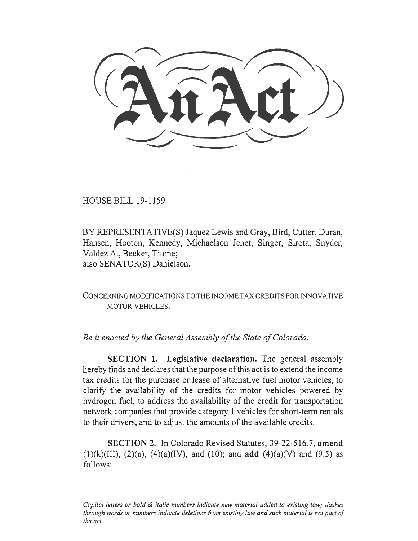HOUSE BILL 19-1159

BY REPRESENTATIVE(S) Jaquez Lewis and Gray, Bird, Cutter, Duran, Hansen, Hooton, Kennedy, Michaelson Jenet, Singer, Sirota, Snyder, Valdez A., Becker, Titone; also SENATOR(S) Danielson.

CONCERNING MODIFICATIONS TO THE INCOME TAX CREDITS FOR INNOVATIVE MOTOR VEHICLES.

*Be it enacted by the General Assembly of the State of Colorado:* 

**SECTION 1. Legislative declaration.** The general assembly hereby finds and declares that the purpose of this act is to extend the income tax credits for the purchase or lease of alternative fuel motor vehicles, to clarify the availability of the credits for motor vehicles powered by hydrogen fuel, to address the availability of the credit for transportation network companies that provide category 1 vehicles for short-term rentals to their drivers, and to adjust the amounts of the available credits.

**SECTION 2.** In Colorado Revised Statutes, 39-22-516.7, **amend**  (1)(k)(III), (2)(a), (4)(a)(IV), and (10); and **add** (4)(a)(V) and (9.5) as follows:

*Capital letters or bold & italic numbers indicate new material added to existing law; dashes through words or numbers indicate deletions from existing law and such material is not part of the act.*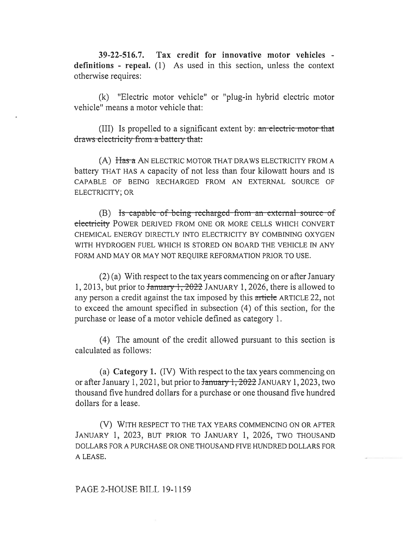**39-22-516.7. Tax credit for innovative motor vehicles definitions - repeal.** (1) As used in this section, unless the context otherwise requires:

(k) "Electric motor vehicle" or "plug-in hybrid electric motor vehicle" means a motor vehicle that:

(III) Is propelled to a significant extent by:  $an$  electric motor that draws electricity from a battery that:

(A) Has a AN ELECTRIC MOTOR THAT DRAWS ELECTRICITY FROM A battery THAT HAS A capacity of not less than four kilowatt hours and IS CAPABLE OF BEING RECHARGED FROM AN EXTERNAL SOURCE OF ELECTRICITY; OR

(B) Is capable of being-recharged-from-an-external-source of clectricity POWER DERIVED FROM ONE OR MORE CELLS WHICH CONVERT CHEMICAL ENERGY DIRECTLY INTO ELECTRICITY BY COMBINING OXYGEN WITH HYDROGEN FUEL WHICH IS STORED ON BOARD THE VEHICLE IN ANY FORM AND MAY OR MAY NOT REQUIRE REFORMATION PRIOR TO USE.

(2) (a) With respect to the tax years commencing on or after January 1, 2013, but prior to January 1, 2022 JANUARY 1, 2026, there is allowed to any person a credit against the tax imposed by this article ARTICLE 22, not to exceed the amount specified in subsection (4) of this section, for the purchase or lease of a motor vehicle defined as category 1.

(4) The amount of the credit allowed pursuant to this section is calculated as follows:

(a) **Category 1.** (IV) With respect to the tax years commencing on or after January 1, 2021, but prior to  $\frac{1}{2022}$  JANUARY 1, 2023, two thousand five hundred dollars for a purchase or one thousand five hundred dollars for a lease.

(V) WITH RESPECT TO THE TAX YEARS COMMENCING ON OR AFTER JANUARY 1, 2023, BUT PRIOR TO JANUARY 1, 2026, TWO THOUSAND DOLLARS FOR A PURCHASE OR ONE THOUSAND FIVE HUNDRED DOLLARS FOR A LEASE.

## PAGE 2-HOUSE BILL 19-1159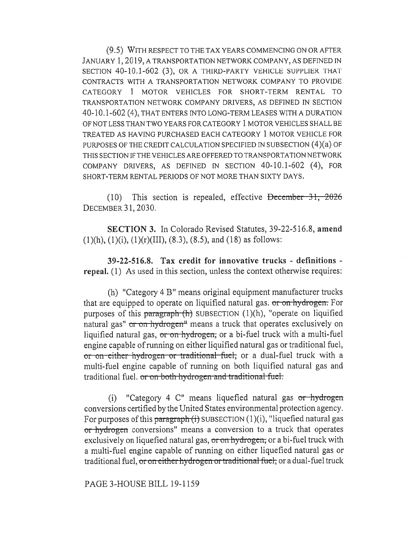(9.5) WITH RESPECT TO THE TAX YEARS COMMENCING ON OR AFTER JANUARY 1, 2019, A TRANSPORTATION NETWORK COMPANY, AS DEFINED IN SECTION 40-10.1-602 (3), OR A THIRD-PARTY VEHICLE SUPPLIER THAT CONTRACTS WITH A TRANSPORTATION NETWORK COMPANY TO PROVIDE CATEGORY 1 MOTOR VEHICLES FOR SHORT-TERM RENTAL TO TRANSPORTATION NETWORK COMPANY DRIVERS, AS DEFINED IN SECTION 40-10.1-602 (4), THAT ENTERS INTO LONG-TERM LEASES WITH A DURATION OF NOT LESS THAN TWO YEARS FOR CATEGORY 1 MOTOR VEHICLES SHALL BE TREATED AS HAVING PURCHASED EACH CATEGORY 1 MOTOR VEHICLE FOR PURPOSES OF THE CREDIT CALCULATION SPECIFIED IN SUBSECTION (4)(a) OF THIS SECTION IF THE VEHICLES ARE OFFERED TO TRANSPORTATION NETWORK COMPANY DRIVERS, AS DEFINED IN SECTION 40-10.1-602 (4), FOR SHORT-TERM RENTAL PERIODS OF NOT MORE THAN SIXTY DAYS.

 $(10)$  This section is repealed, effective December 31, 2026 DECEMBER 31, 2030.

SECTION 3. In Colorado Revised Statutes, 39-22-516.8, amend  $(1)(h)$ ,  $(1)(i)$ ,  $(1)(r)(III)$ ,  $(8.3)$ ,  $(8.5)$ , and  $(18)$  as follows:

39-22-516.8. Tax credit for innovative trucks - definitions repeal. (1) As used in this section, unless the context otherwise requires:

(h) "Category 4 B" means original equipment manufacturer trucks that are equipped to operate on liquified natural gas. or on hydrogen. For purposes of this paragraph  $(h)$  SUBSECTION  $(1)(h)$ , "operate on liquified natural gas" or on hydrogen<sup>"</sup> means a truck that operates exclusively on liquified natural gas, or on hydrogen, or a bi-fuel truck with a multi-fuel engine capable of running on either liquified natural gas or traditional fuel, or on either hydrogen or traditional fuel, or a dual-fuel truck with a multi-fuel engine capable of running on both liquified natural gas and traditional fuel. or on both hydrogen and traditional fuel.

(i) "Category 4 C" means liquefied natural gas  $\sigma r$  hydrogen conversions certified by the United States environmental protection agency. For purposes of this paragraph  $(i)$  SUBSECTION  $(1)(i)$ , "liquefied natural gas or hydrogen conversions" means a conversion to a truck that operates exclusively on liquefied natural gas, or on hydrogen, or a bi-fuel truck with a multi-fuel engine capable of running on either liquefied natural gas or traditional fuel, or on either hydrogen or traditional fuel, or a dual-fuel truck

PAGE 3-HOUSE BILL 19-1159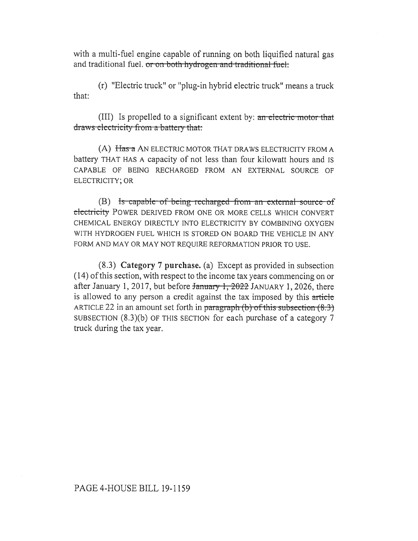with a multi-fuel engine capable of running on both liquified natural gas and traditional fuel. or on both hydrogen and traditional fuel.

(r) "Electric truck" or "plug-in hybrid electric truck" means a truck that:

(III) Is propelled to a significant extent by:  $an$  electric motor that draws electricity from a battery that:

 $(A)$  Has a AN ELECTRIC MOTOR THAT DRAWS ELECTRICITY FROM A battery THAT HAS A capacity of not less than four kilowatt hours and IS CAPABLE OF BEING RECHARGED FROM AN EXTERNAL SOURCE OF ELECTRICITY; OR

 $(B)$  is capable of being recharged from an external source of clectricity POWER DERIVED FROM ONE OR MORE CELLS WHICH CONVERT CHEMICAL ENERGY DIRECTLY INTO ELECTRICITY BY COMBINING OXYGEN WITH HYDROGEN FUEL WHICH IS STORED ON BOARD THE VEHICLE IN ANY FORM AND MAY OR MAY NOT REQUIRE REFORMATION PRIOR TO USE.

(8.3) Category 7 purchase. (a) Except as provided in subsection (14) of this section, with respect to the income tax years commencing on or after January 1, 2017, but before January 1, 2022 JANUARY 1, 2026, there is allowed to any person a credit against the tax imposed by this article ARTICLE 22 in an amount set forth in paragraph (b) of this subsection  $(8.3)$ SUBSECTION (8.3)(b) OF THIS SECTION for each purchase of a category 7 truck during the tax year.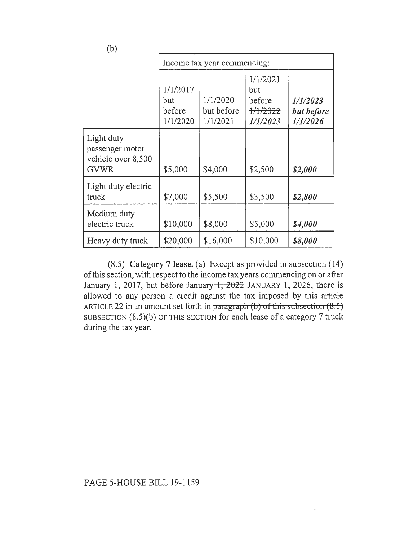|                                                                    | Income tax year commencing:           |                                    |                                                    |                                    |
|--------------------------------------------------------------------|---------------------------------------|------------------------------------|----------------------------------------------------|------------------------------------|
|                                                                    | 1/1/2017<br>but<br>before<br>1/1/2020 | 1/1/2020<br>but before<br>1/1/2021 | 1/1/2021<br>but<br>before<br>$+1/2022$<br>1/1/2023 | 1/1/2023<br>but before<br>1/1/2026 |
| Light duty<br>passenger motor<br>vehicle over 8,500<br><b>GVWR</b> | \$5,000                               | \$4,000                            | \$2,500                                            | \$2,000                            |
| Light duty electric<br>truck                                       | \$7,000                               | \$5,500                            | \$3,500                                            | \$2,800                            |
| Medium duty<br>electric truck                                      | \$10,000                              | \$8,000                            | \$5,000                                            | \$4,000                            |
| Heavy duty truck                                                   | \$20,000                              | \$16,000                           | \$10,000                                           | \$8,000                            |

(8.5) Category 7 lease. (a) Except as provided in subsection (14) of this section, with respect to the income tax years commencing on or after January 1, 2017, but before January 1, 2022 JANUARY 1, 2026, there is allowed to any person a credit against the tax imposed by this article ARTICLE 22 in an amount set forth in paragraph  $(b)$  of this subsection  $(8.5)$ SUBSECTION (8.5)(b) OF THIS SECTION for each lease of a category 7 truck during the tax year.

(b

## PAGE 5-HOUSE BILL 19-1159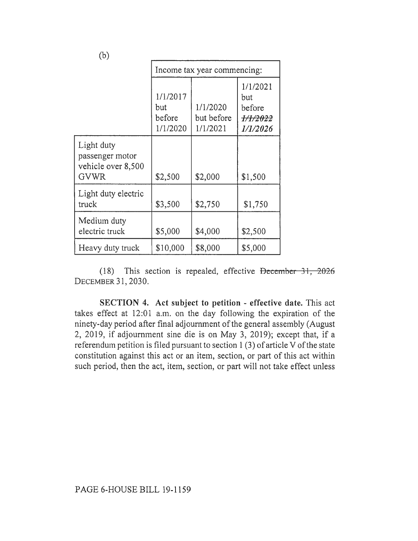| (b)                                                                |                                       |                                    |                                                              |  |
|--------------------------------------------------------------------|---------------------------------------|------------------------------------|--------------------------------------------------------------|--|
|                                                                    | Income tax year commencing:           |                                    |                                                              |  |
|                                                                    | 1/1/2017<br>but<br>before<br>1/1/2020 | 1/1/2020<br>but before<br>1/1/2021 | 1/1/2021<br>but<br>before<br><del>1/1/2022</del><br>1/1/2026 |  |
| Light duty<br>passenger motor<br>vehicle over 8,500<br><b>GVWR</b> | \$2,500                               | \$2,000                            | \$1,500                                                      |  |
| Light duty electric<br>truck                                       | \$3,500                               | \$2,750                            | \$1,750                                                      |  |
| Medium duty<br>electric truck                                      | \$5,000                               | \$4,000                            | \$2,500                                                      |  |
| Heavy duty truck                                                   | \$10,000                              | \$8,000                            | \$5,000                                                      |  |

(18) This section is repealed, effective  $December 31, 2026$ DECEMBER 31, 2030.

**SECTION 4. Act subject to petition - effective date.** This act takes effect at 12:01 a.m. on the day following the expiration of the ninety-day period after final adjournment of the general assembly (August 2, 2019, if adjournment sine die is on May 3, 2019); except that, if a referendum petition is filed pursuant to section 1 (3) of article V of the state constitution against this act or an item, section, or part of this act within such period, then the act, item, section, or part will not take effect unless